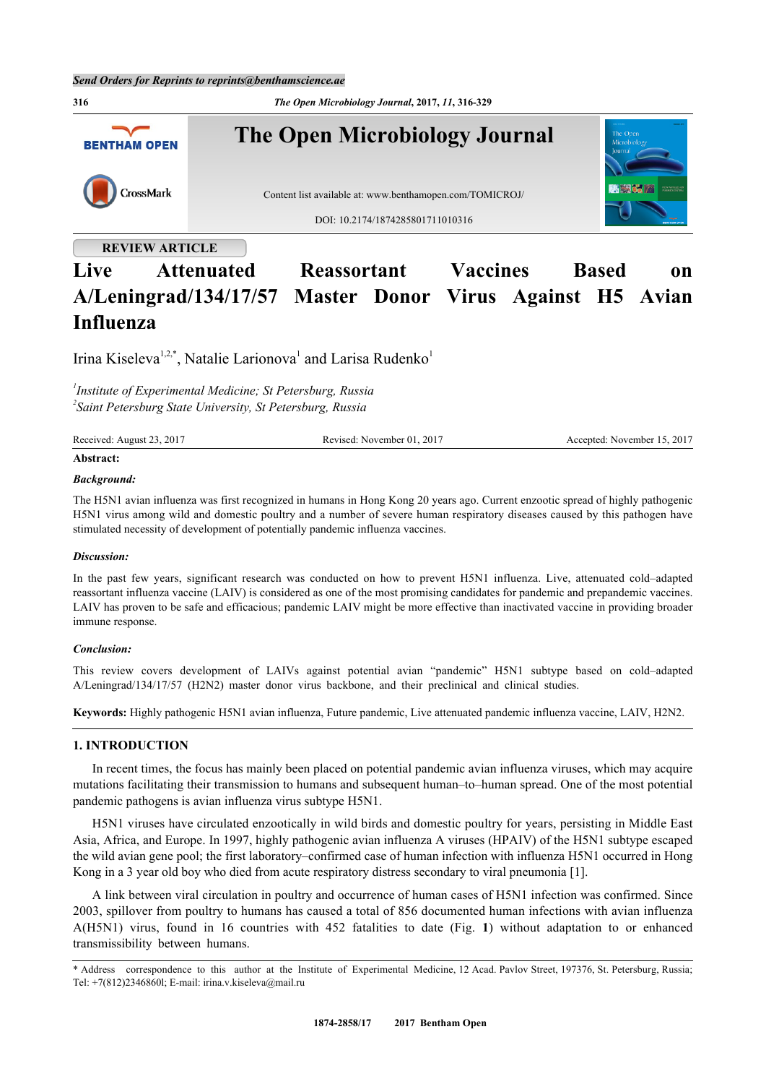

# **Live Attenuated Reassortant Vaccines Based on A/Leningrad/134/17/57 Master Donor Virus Against H5 Avian Influenza**

Irina Kiseleva<sup>[1,](#page-0-0)[2,](#page-0-1)[\\*](#page-0-2)</sup>, Natalie Larionova<sup>[1](#page-0-0)</sup> and Larisa Rudenko<sup>1</sup>

<span id="page-0-1"></span><span id="page-0-0"></span>*1 Institute of Experimental Medicine; St Petersburg, Russia 2 Saint Petersburg State University, St Petersburg, Russia*

| Received<br>2017<br>$\sim$<br>August | 201'<br>Revised:<br>November 01. | $.201^{-}$<br>November<br>$c$ cented. |
|--------------------------------------|----------------------------------|---------------------------------------|
|                                      |                                  |                                       |

## **Abstract:**

#### *Background:*

The H5N1 avian influenza was first recognized in humans in Hong Kong 20 years ago. Current enzootic spread of highly pathogenic H5N1 virus among wild and domestic poultry and a number of severe human respiratory diseases caused by this pathogen have stimulated necessity of development of potentially pandemic influenza vaccines.

#### *Discussion:*

In the past few years, significant research was conducted on how to prevent H5N1 influenza. Live, attenuated cold–adapted reassortant influenza vaccine (LAIV) is considered as one of the most promising candidates for pandemic and prepandemic vaccines. LAIV has proven to be safe and efficacious; pandemic LAIV might be more effective than inactivated vaccine in providing broader immune response.

#### *Conclusion:*

This review covers development of LAIVs against potential avian "pandemic" H5N1 subtype based on cold–adapted A/Leningrad/134/17/57 (H2N2) master donor virus backbone, and their preclinical and clinical studies.

**Keywords:** Highly pathogenic H5N1 avian influenza, Future pandemic, Live attenuated pandemic influenza vaccine, LAIV, H2N2.

# **1. INTRODUCTION**

In recent times, the focus has mainly been placed on potential pandemic avian influenza viruses, which may acquire mutations facilitating their transmission to humans and subsequent human–to–human spread. One of the most potential pandemic pathogens is avian influenza virus subtype H5N1.

H5N1 viruses have circulated enzootically in wild birds and domestic poultry for years, persisting in Middle East Asia, Africa, and Europe. In 1997, highly pathogenic avian influenza A viruses (HPAIV) of the H5N1 subtype escaped the wild avian gene pool; the first laboratory–confirmed case of human infection with influenza H5N1 occurred in Hong Kong in a 3 year old boy who died from acute respiratory distress secondary to viral pneumonia [\[1](#page-10-0)].

A link between viral circulation in poultry and occurrence of human cases of H5N1 infection was confirmed. Since 2003, spillover from poultry to humans has caused a total of 856 documented human infections with avian influenza A(H5N1) virus, found in 16 countries with 452 fatalities to date (Fig.**1**) without adaptation to or enhanced transmissibility between humans.

<span id="page-0-3"></span><span id="page-0-2"></span><sup>\*</sup> Address correspondence to this author at the Institute of Experimental Medicine, 12 Acad. Pavlov Street, 197376, St. Petersburg, Russia; Tel: +7(812)2346860l; E-mail: [irina.v.kiseleva@mail.ru](mailto:irina.v.kiseleva@mail.ru)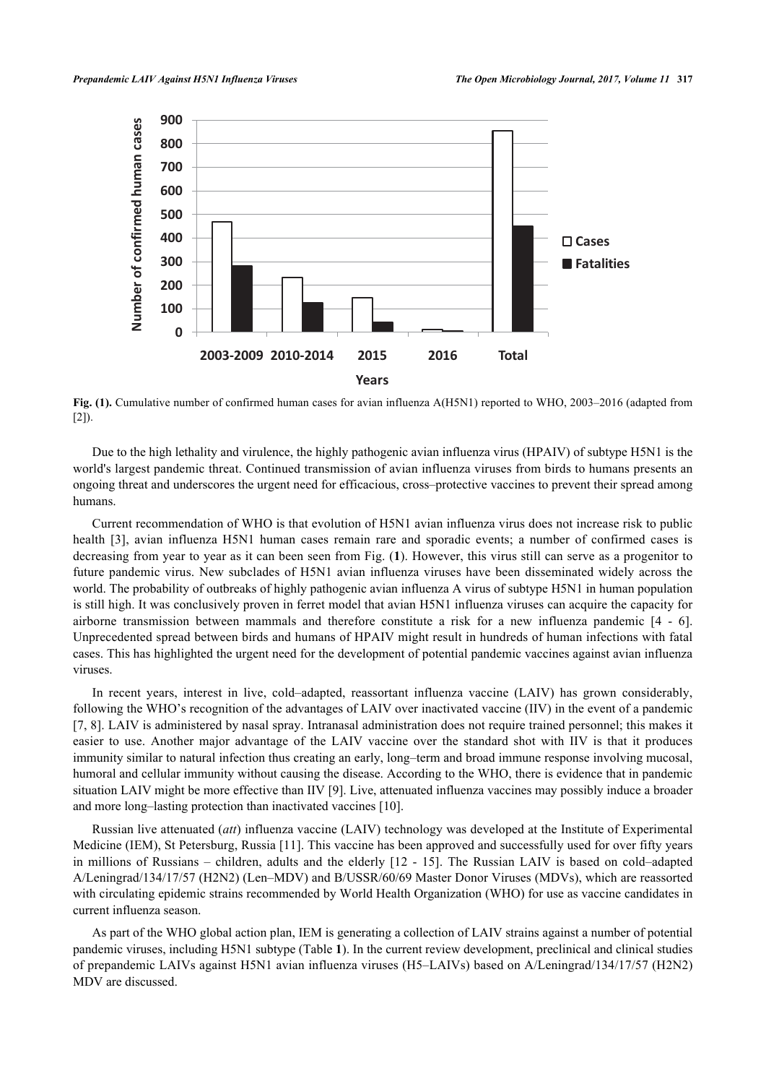

**Fig. (1).** Cumulative number of confirmed human cases for avian influenza A(H5N1) reported to WHO, 2003–2016 (adapted from  $[2]$  $[2]$  $[2]$ ).

Due to the high lethality and virulence, the highly pathogenic avian influenza virus (HPAIV) of subtype H5N1 is the world's largest pandemic threat. Continued transmission of avian influenza viruses from birds to humans presents an ongoing threat and underscores the urgent need for efficacious, cross–protective vaccines to prevent their spread among humans.

Current recommendation of WHO is that evolution of H5N1 avian influenza virus does not increase risk to public health [\[3](#page-10-2)], avian influenza H5N1 human cases remain rare and sporadic events; a number of confirmed cases is decreasing from year to year as it can been seen from Fig. (**[1](#page-0-3)**). However, this virus still can serve as a progenitor to future pandemic virus. New subclades of H5N1 avian influenza viruses have been disseminated widely across the world. The probability of outbreaks of highly pathogenic avian influenza A virus of subtype H5N1 in human population is still high. It was conclusively proven in ferret model that avian H5N1 influenza viruses can acquire the capacity for airborne transmission between mammals and therefore constitute a risk for a new influenza pandemic [\[4](#page-10-3) - [6\]](#page-10-4). Unprecedented spread between birds and humans of HPAIV might result in hundreds of human infections with fatal cases. This has highlighted the urgent need for the development of potential pandemic vaccines against avian influenza viruses.

In recent years, interest in live, cold–adapted, reassortant influenza vaccine (LAIV) has grown considerably, following the WHO's recognition of the advantages of LAIV over inactivated vaccine (IIV) in the event of a pandemic [\[7](#page-10-5), [8](#page-10-6)]. LAIV is administered by nasal spray. Intranasal administration does not require trained personnel; this makes it easier to use. Another major advantage of the LAIV vaccine over the standard shot with IIV is that it produces immunity similar to natural infection thus creating an early, long–term and broad immune response involving mucosal, humoral and cellular immunity without causing the disease. According to the WHO, there is evidence that in pandemic situation LAIV might be more effective than IIV [[9\]](#page-10-7). Live, attenuated influenza vaccines may possibly induce a broader and more long–lasting protection than inactivated vaccines [\[10](#page-10-8)].

Russian live attenuated (*att*) influenza vaccine (LAIV) technology was developed at the Institute of Experimental Medicine (IEM), St Petersburg, Russia [[11\]](#page-10-9). This vaccine has been approved and successfully used for over fifty years in millions of Russians – children, adults and the elderly[[12](#page-10-10) - [15](#page-10-11)]. The Russian LAIV is based on cold–adapted A/Leningrad/134/17/57 (H2N2) (Len–MDV) and B/USSR/60/69 Master Donor Viruses (MDVs), which are reassorted with circulating epidemic strains recommended by World Health Organization (WHO) for use as vaccine candidates in current influenza season.

<span id="page-1-0"></span>As part of the WHO global action plan, IEM is generating a collection of LAIV strains against a number of potential pandemic viruses, including H5N1 subtype (Table **[1](#page-1-0)**). In the current review development, preclinical and clinical studies of prepandemic LAIVs against H5N1 avian influenza viruses (H5–LAIVs) based on A/Leningrad/134/17/57 (H2N2) MDV are discussed.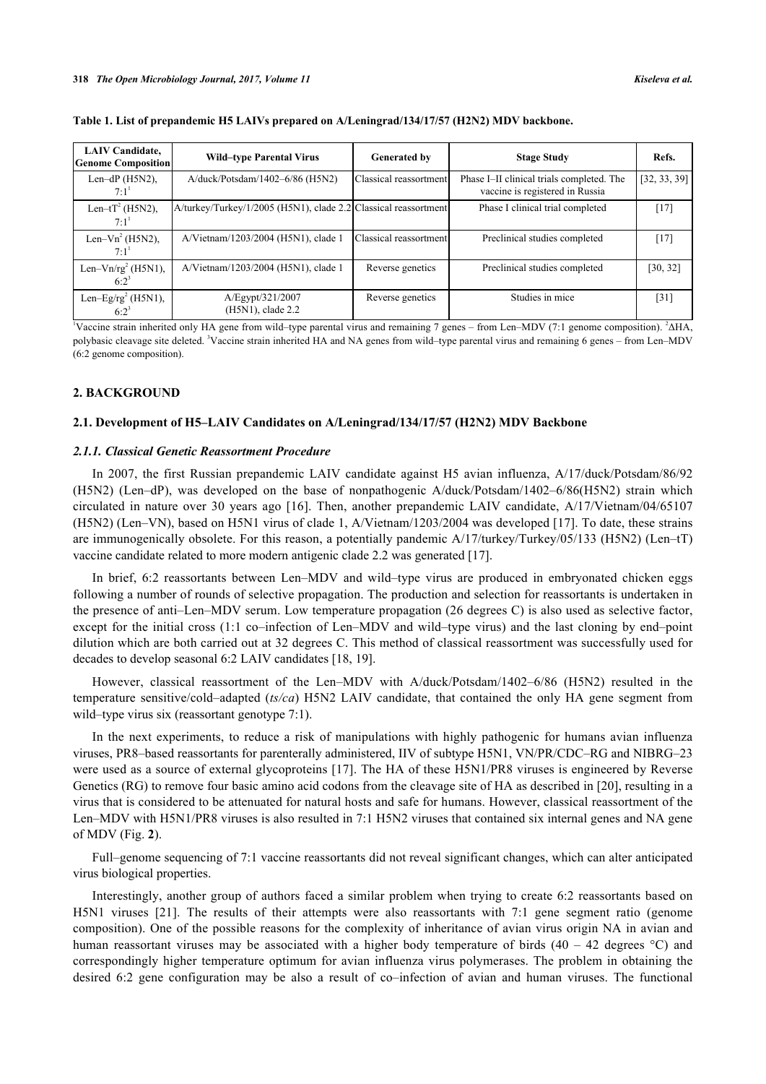| <b>LAIV</b> Candidate,<br><b>Genome Composition</b> | <b>Wild-type Parental Virus</b>                                 | <b>Generated by</b>    | <b>Stage Study</b>                                                           | Refs.        |
|-----------------------------------------------------|-----------------------------------------------------------------|------------------------|------------------------------------------------------------------------------|--------------|
| Len-dP $(H5N2)$ ,<br>$7:1^1$                        | A/duck/Potsdam/1402-6/86 (H5N2)                                 | Classical reassortment | Phase I-II clinical trials completed. The<br>vaccine is registered in Russia | [32, 33, 39] |
| Len-tT <sup>2</sup> (H5N2),<br>$7:1^{1}$            | A/turkey/Turkey/1/2005 (H5N1), clade 2.2 Classical reassortment |                        | Phase I clinical trial completed                                             | $[17]$       |
| Len–Vn <sup>2</sup> (H5N2),<br>$7:1^{1}$            | A/Vietnam/1203/2004 (H5N1), clade 1                             | Classical reassortment | Preclinical studies completed                                                | $[17]$       |
| Len- $\text{Vn/rg}^2$ (H5N1),<br>$6:2^3$            | A/Vietnam/1203/2004 (H5N1), clade 1                             | Reverse genetics       | Preclinical studies completed                                                | [30, 32]     |
| Len-Eg/rg <sup>2</sup> (H5N1),<br>$6:2^{3}$         | A/Egypt/321/2007<br>(H5N1), clade 2.2                           | Reverse genetics       | Studies in mice                                                              | [31]         |

**Table 1. List of prepandemic H5 LAIVs prepared on A/Leningrad/134/17/57 (H2N2) MDV backbone.**

<sup>1</sup>Vaccine strain inherited only HA gene from wild–type parental virus and remaining 7 genes – from Len–MDV (7:1 genome composition). <sup>2</sup>ΔHA, polybasic cleavage site deleted. 'Vaccine strain inherited HA and NA genes from wild–type parental virus and remaining 6 genes – from Len–MDV (6:2 genome composition).

#### **2. BACKGROUND**

#### **2.1. Development of H5–LAIV Candidates on A/Leningrad/134/17/57 (H2N2) MDV Backbone**

#### *2.1.1. Classical Genetic Reassortment Procedure*

In 2007, the first Russian prepandemic LAIV candidate against H5 avian influenza, A/17/duck/Potsdam/86/92 (H5N2) (Len–dP), was developed on the base of nonpathogenic A/duck/Potsdam/1402–6/86(H5N2) strain which circulated in nature over 30 years ago[[16](#page-10-13)]. Then, another prepandemic LAIV candidate, A/17/Vietnam/04/65107 (H5N2) (Len–VN), based on H5N1 virus of clade 1, A/Vietnam/1203/2004 was developed [\[17\]](#page-10-12). To date, these strains are immunogenically obsolete. For this reason, a potentially pandemic A/17/turkey/Turkey/05/133 (H5N2) (Len–tT) vaccine candidate related to more modern antigenic clade 2.2 was generated [\[17](#page-10-12)].

In brief, 6:2 reassortants between Len–MDV and wild–type virus are produced in embryonated chicken eggs following a number of rounds of selective propagation. The production and selection for reassortants is undertaken in the presence of anti–Len–MDV serum. Low temperature propagation (26 degrees C) is also used as selective factor, except for the initial cross (1:1 co–infection of Len–MDV and wild–type virus) and the last cloning by end–point dilution which are both carried out at 32 degrees C. This method of classical reassortment was successfully used for decades to develop seasonal 6:2 LAIV candidates [\[18](#page-10-14), [19](#page-11-4)].

However, classical reassortment of the Len–MDV with A/duck/Potsdam/1402–6/86 (H5N2) resulted in the temperature sensitive/cold–adapted (*ts/ca*) H5N2 LAIV candidate, that contained the only HA gene segment from wild–type virus six (reassortant genotype 7:1).

In the next experiments, to reduce a risk of manipulations with highly pathogenic for humans avian influenza viruses, PR8–based reassortants for parenterally administered, IIV of subtype H5N1, VN/PR/CDC–RG and NIBRG–23 were used as a source of external glycoproteins [\[17](#page-10-12)]. The HA of these H5N1/PR8 viruses is engineered by Reverse Genetics (RG) to remove four basic amino acid codons from the cleavage site of HA as described in [\[20](#page-11-5)], resulting in a virus that is considered to be attenuated for natural hosts and safe for humans. However, classical reassortment of the Len–MDV with H5N1/PR8 viruses is also resulted in 7:1 H5N2 viruses that contained six internal genes and NA gene of MDV (Fig. **[2](#page-3-0)**).

Full–genome sequencing of 7:1 vaccine reassortants did not reveal significant changes, which can alter anticipated virus biological properties.

Interestingly, another group of authors faced a similar problem when trying to create 6:2 reassortants based on H5N1 viruses[[21](#page-11-6)]. The results of their attempts were also reassortants with 7:1 gene segment ratio (genome composition). One of the possible reasons for the complexity of inheritance of avian virus origin NA in avian and human reassortant viruses may be associated with a higher body temperature of birds  $(40 - 42$  degrees °C) and correspondingly higher temperature optimum for avian influenza virus polymerases. The problem in obtaining the desired 6:2 gene configuration may be also a result of co–infection of avian and human viruses. The functional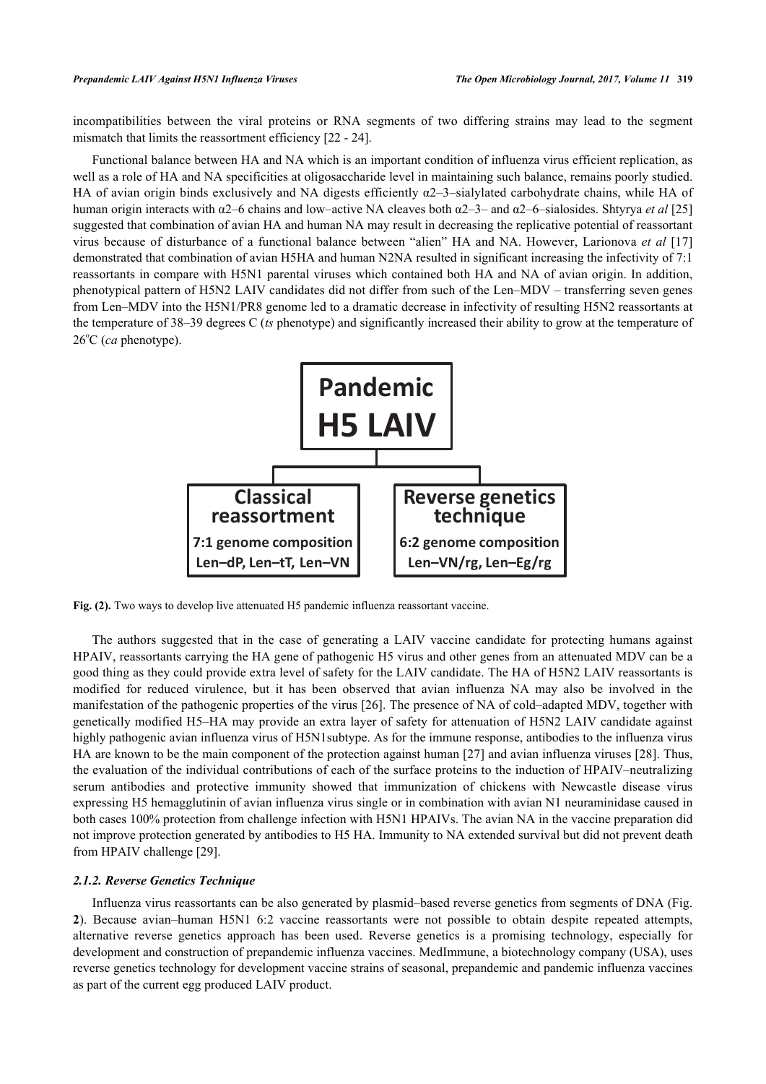incompatibilities between the viral proteins or RNA segments of two differing strains may lead to the segment mismatch that limits the reassortment efficiency [\[22](#page-11-7) - [24](#page-11-8)].

Functional balance between HA and NA which is an important condition of influenza virus efficient replication, as well as a role of HA and NA specificities at oligosaccharide level in maintaining such balance, remains poorly studied. HA of avian origin binds exclusively and NA digests efficiently α2–3–sialylated carbohydrate chains, while HA of human origin interacts with α2–6 chains and low–active NA cleaves both α2–3– and α2–6–sialosides. Shtyrya *et al* [\[25](#page-11-9)] suggested that combination of avian HA and human NA may result in decreasing the replicative potential of reassortant virus because of disturbance of a functional balance between "alien" HA and NA. However, Larionova *et al* [[17](#page-10-12)] demonstrated that combination of avian H5HA and human N2NA resulted in significant increasing the infectivity of 7:1 reassortants in compare with H5N1 parental viruses which contained both HA and NA of avian origin. In addition, phenotypical pattern of H5N2 LAIV candidates did not differ from such of the Len–MDV – transferring seven genes from Len–MDV into the H5N1/PR8 genome led to a dramatic decrease in infectivity of resulting H5N2 reassortants at the temperature of 38–39 degrees C (*ts* phenotype) and significantly increased their ability to grow at the temperature of 26°C (*ca* phenotype).

<span id="page-3-0"></span>

Fig. (2). Two ways to develop live attenuated H5 pandemic influenza reassortant vaccine.

The authors suggested that in the case of generating a LAIV vaccine candidate for protecting humans against HPAIV, reassortants carrying the HA gene of pathogenic H5 virus and other genes from an attenuated MDV can be a good thing as they could provide extra level of safety for the LAIV candidate. The HA of H5N2 LAIV reassortants is modified for reduced virulence, but it has been observed that avian influenza NA may also be involved in the manifestation of the pathogenic properties of the virus [\[26](#page-11-10)]. The presence of NA of cold–adapted MDV, together with genetically modified H5–HA may provide an extra layer of safety for attenuation of H5N2 LAIV candidate against highly pathogenic avian influenza virus of H5N1subtype. As for the immune response, antibodies to the influenza virus HA are known to be the main component of the protection against human [\[27\]](#page-11-11) and avian influenza viruses [[28](#page-11-12)]. Thus, the evaluation of the individual contributions of each of the surface proteins to the induction of HPAIV–neutralizing serum antibodies and protective immunity showed that immunization of chickens with Newcastle disease virus expressing H5 hemagglutinin of avian influenza virus single or in combination with avian N1 neuraminidase caused in both cases 100% protection from challenge infection with H5N1 HPAIVs. The avian NA in the vaccine preparation did not improve protection generated by antibodies to H5 HA. Immunity to NA extended survival but did not prevent death from HPAIV challenge [[29\]](#page-11-13).

#### *2.1.2. Reverse Genetics Technique*

Influenza virus reassortants can be also generated by plasmid–based reverse genetics from segments of DNA (Fig. **[2](#page-3-0)**). Because avian–human H5N1 6:2 vaccine reassortants were not possible to obtain despite repeated attempts, alternative reverse genetics approach has been used. Reverse genetics is a promising technology, especially for development and construction of prepandemic influenza vaccines. MedImmune, a biotechnology company (USA), uses reverse genetics technology for development vaccine strains of seasonal, prepandemic and pandemic influenza vaccines as part of the current egg produced LAIV product.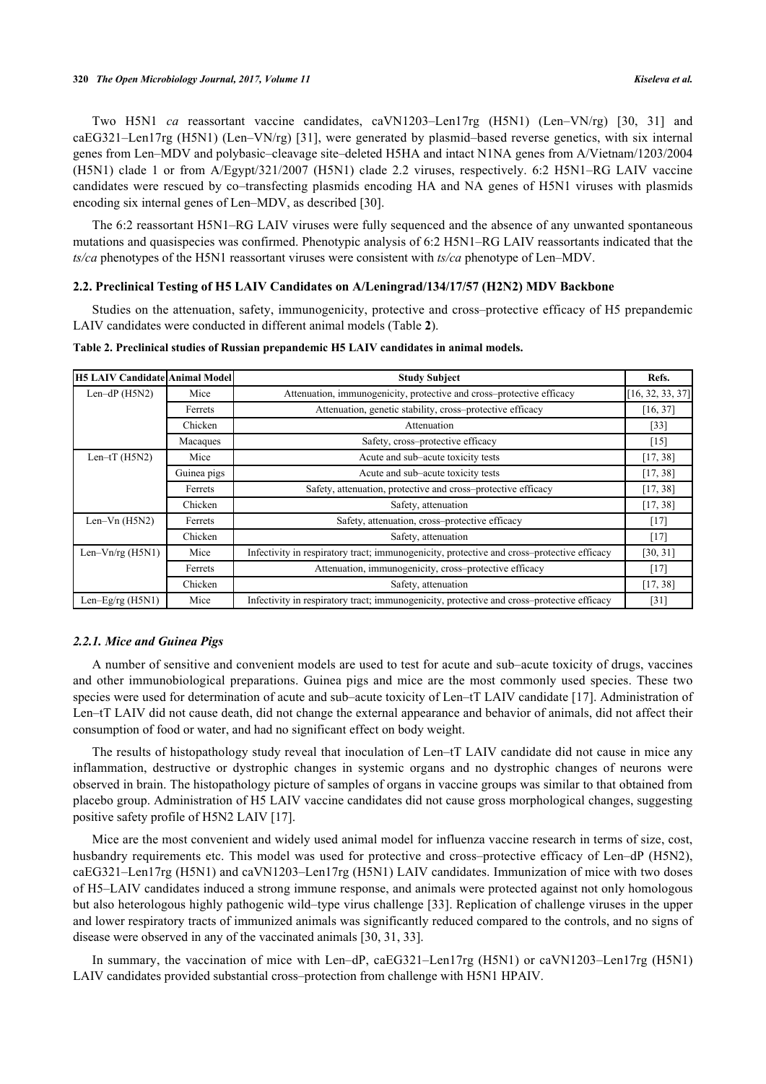Two H5N1 *ca* reassortant vaccine candidates, caVN1203–Len17rg (H5N1) (Len–VN/rg) [\[30](#page-11-2), [31](#page-11-3)] and caEG321–Len17rg (H5N1) (Len–VN/rg) [[31\]](#page-11-3), were generated by plasmid–based reverse genetics, with six internal genes from Len–MDV and polybasic–cleavage site–deleted H5HA and intact N1NA genes from A/Vietnam/1203/2004 (H5N1) clade 1 or from A/Egypt/321/2007 (H5N1) clade 2.2 viruses, respectively. 6:2 H5N1–RG LAIV vaccine candidates were rescued by co–transfecting plasmids encoding HA and NA genes of H5N1 viruses with plasmids encoding six internal genes of Len–MDV, as described [\[30](#page-11-2)].

The 6:2 reassortant H5N1–RG LAIV viruses were fully sequenced and the absence of any unwanted spontaneous mutations and quasispecies was confirmed. Phenotypic analysis of 6:2 H5N1–RG LAIV reassortants indicated that the *ts/ca* phenotypes of the H5N1 reassortant viruses were consistent with *ts/ca* phenotype of Len–MDV.

# **2.2. Preclinical Testing of H5 LAIV Candidates on A/Leningrad/134/17/57 (H2N2) MDV Backbone**

Studies on the attenuation, safety, immunogenicity, protective and cross–protective efficacy of H5 prepandemic LAIV candidates were conducted in different animal models (Table **[2](#page-4-0)**).

| H5 LAIV Candidate Animal Model |             | <b>Study Subject</b>                                                                       | Refs.            |
|--------------------------------|-------------|--------------------------------------------------------------------------------------------|------------------|
| Len-dP $(H5N2)$<br>Mice        |             | Attenuation, immunogenicity, protective and cross-protective efficacy                      | [16, 32, 33, 37] |
|                                | Ferrets     | Attenuation, genetic stability, cross-protective efficacy                                  | [16, 37]         |
|                                | Chicken     | Attenuation                                                                                | $[33]$           |
|                                | Macaques    | Safety, cross-protective efficacy                                                          | $[15]$           |
| Len- $tT$ (H5N2)               | Mice        | Acute and sub-acute toxicity tests                                                         | [17, 38]         |
|                                | Guinea pigs | Acute and sub-acute toxicity tests                                                         | [17, 38]         |
|                                | Ferrets     | Safety, attenuation, protective and cross-protective efficacy                              | [17, 38]         |
|                                | Chicken     | Safety, attenuation                                                                        | [17, 38]         |
| Len- $Vn$ (H5N2)               | Ferrets     | Safety, attenuation, cross-protective efficacy                                             | $[17]$           |
|                                | Chicken     | Safety, attenuation                                                                        | $[17]$           |
| Len- $Vn$ /rg (H5N1)           | Mice        | Infectivity in respiratory tract; immunogenicity, protective and cross-protective efficacy | [30, 31]         |
|                                | Ferrets     | Attenuation, immunogenicity, cross-protective efficacy                                     | $[17]$           |
|                                | Chicken     | Safety, attenuation                                                                        | [17, 38]         |
| Len-Eg/rg $(H5N1)$             | Mice        | Infectivity in respiratory tract; immunogenicity, protective and cross-protective efficacy | [31]             |

#### <span id="page-4-0"></span>**Table 2. Preclinical studies of Russian prepandemic H5 LAIV candidates in animal models.**

#### *2.2.1. Mice and Guinea Pigs*

A number of sensitive and convenient models are used to test for acute and sub–acute toxicity of drugs, vaccines and other immunobiological preparations. Guinea pigs and mice are the most commonly used species. These two species were used for determination of acute and sub–acute toxicity of Len–tT LAIV candidate [[17](#page-10-12)]. Administration of Len–tT LAIV did not cause death, did not change the external appearance and behavior of animals, did not affect their consumption of food or water, and had no significant effect on body weight.

The results of histopathology study reveal that inoculation of Len–tT LAIV candidate did not cause in mice any inflammation, destructive or dystrophic changes in systemic organs and no dystrophic changes of neurons were observed in brain. The histopathology picture of samples of organs in vaccine groups was similar to that obtained from placebo group. Administration of H5 LAIV vaccine candidates did not cause gross morphological changes, suggesting positive safety profile of H5N2 LAIV [[17\]](#page-10-12).

Mice are the most convenient and widely used animal model for influenza vaccine research in terms of size, cost, husbandry requirements etc. This model was used for protective and cross–protective efficacy of Len–dP (H5N2), caEG321–Len17rg (H5N1) and caVN1203–Len17rg (H5N1) LAIV candidates. Immunization of mice with two doses of H5–LAIV candidates induced a strong immune response, and animals were protected against not only homologous but also heterologous highly pathogenic wild–type virus challenge [[33\]](#page-11-1). Replication of challenge viruses in the upper and lower respiratory tracts of immunized animals was significantly reduced compared to the controls, and no signs of disease were observed in any of the vaccinated animals [[30,](#page-11-2) [31,](#page-11-3) [33\]](#page-11-1).

In summary, the vaccination of mice with Len–dP, caEG321–Len17rg (H5N1) or caVN1203–Len17rg (H5N1) LAIV candidates provided substantial cross–protection from challenge with H5N1 HPAIV.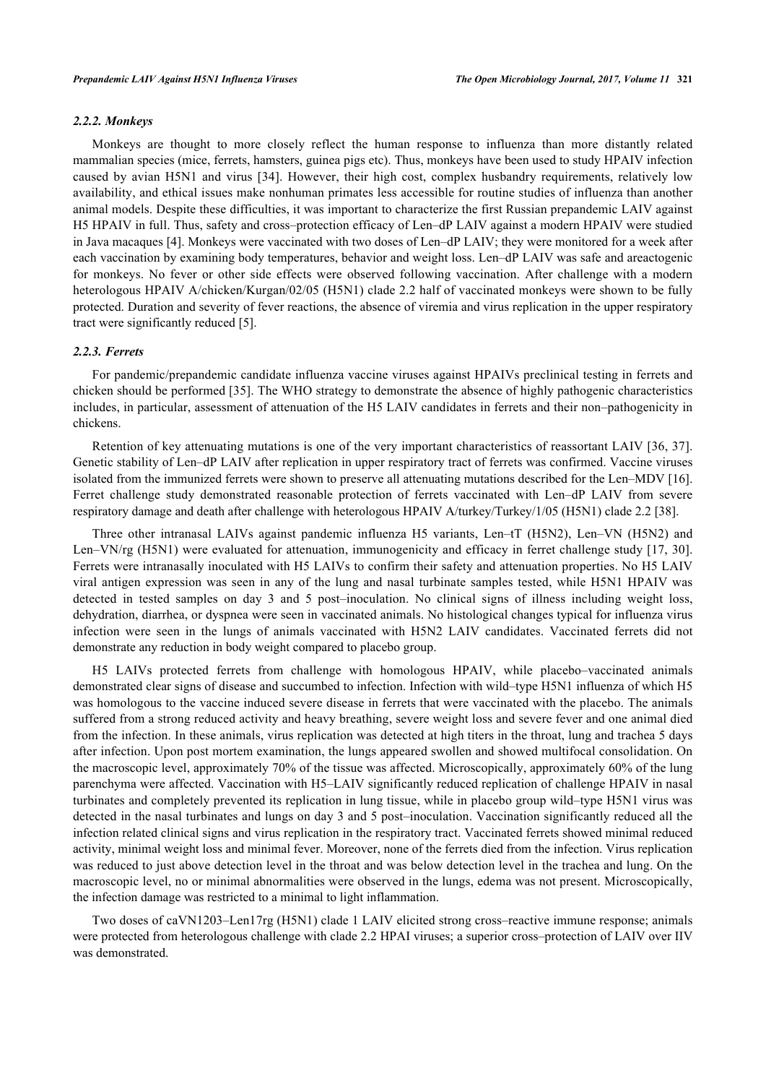#### *2.2.2. Monkeys*

Monkeys are thought to more closely reflect the human response to influenza than more distantly related mammalian species (mice, ferrets, hamsters, guinea pigs etc). Thus, monkeys have been used to study HPAIV infection caused by avian H5N1 and virus[[34\]](#page-11-16). However, their high cost, complex husbandry requirements, relatively low availability, and ethical issues make nonhuman primates less accessible for routine studies of influenza than another animal models. Despite these difficulties, it was important to characterize the first Russian prepandemic LAIV against H5 HPAIV in full. Thus, safety and cross–protection efficacy of Len–dP LAIV against a modern HPAIV were studied in Java macaques [[4\]](#page-10-3). Monkeys were vaccinated with two doses of Len–dP LAIV; they were monitored for a week after each vaccination by examining body temperatures, behavior and weight loss. Len–dP LAIV was safe and areactogenic for monkeys. No fever or other side effects were observed following vaccination. After challenge with a modern heterologous HPAIV A/chicken/Kurgan/02/05 (H5N1) clade 2.2 half of vaccinated monkeys were shown to be fully protected. Duration and severity of fever reactions, the absence of viremia and virus replication in the upper respiratory tract were significantly reduced [[5\]](#page-10-15).

# *2.2.3. Ferrets*

For pandemic/prepandemic candidate influenza vaccine viruses against HPAIVs preclinical testing in ferrets and chicken should be performed [\[35\]](#page-11-17). The WHO strategy to demonstrate the absence of highly pathogenic characteristics includes, in particular, assessment of attenuation of the H5 LAIV candidates in ferrets and their non–pathogenicity in chickens.

Retention of key attenuating mutations is one of the very important characteristics of reassortant LAIV [[36,](#page-11-18) [37\]](#page-11-14). Genetic stability of Len–dP LAIV after replication in upper respiratory tract of ferrets was confirmed. Vaccine viruses isolated from the immunized ferrets were shown to preserve all attenuating mutations described for the Len–MDV [[16\]](#page-10-13). Ferret challenge study demonstrated reasonable protection of ferrets vaccinated with Len–dP LAIV from severe respiratory damage and death after challenge with heterologous HPAIV A/turkey/Turkey/1/05 (H5N1) clade 2.2 [\[38](#page-11-15)].

Three other intranasal LAIVs against pandemic influenza H5 variants, Len–tT (H5N2), Len–VN (H5N2) and Len–VN/rg (H5N1) were evaluated for attenuation, immunogenicity and efficacy in ferret challenge study [\[17,](#page-10-12) [30\]](#page-11-2). Ferrets were intranasally inoculated with H5 LAIVs to confirm their safety and attenuation properties. No H5 LAIV viral antigen expression was seen in any of the lung and nasal turbinate samples tested, while H5N1 HPAIV was detected in tested samples on day 3 and 5 post–inoculation. No clinical signs of illness including weight loss, dehydration, diarrhea, or dyspnea were seen in vaccinated animals. No histological changes typical for influenza virus infection were seen in the lungs of animals vaccinated with H5N2 LAIV candidates. Vaccinated ferrets did not demonstrate any reduction in body weight compared to placebo group.

H5 LAIVs protected ferrets from challenge with homologous HPAIV, while placebo–vaccinated animals demonstrated clear signs of disease and succumbed to infection. Infection with wild–type H5N1 influenza of which H5 was homologous to the vaccine induced severe disease in ferrets that were vaccinated with the placebo. The animals suffered from a strong reduced activity and heavy breathing, severe weight loss and severe fever and one animal died from the infection. In these animals, virus replication was detected at high titers in the throat, lung and trachea 5 days after infection. Upon post mortem examination, the lungs appeared swollen and showed multifocal consolidation. On the macroscopic level, approximately 70% of the tissue was affected. Microscopically, approximately 60% of the lung parenchyma were affected. Vaccination with H5–LAIV significantly reduced replication of challenge HPAIV in nasal turbinates and completely prevented its replication in lung tissue, while in placebo group wild–type H5N1 virus was detected in the nasal turbinates and lungs on day 3 and 5 post–inoculation. Vaccination significantly reduced all the infection related clinical signs and virus replication in the respiratory tract. Vaccinated ferrets showed minimal reduced activity, minimal weight loss and minimal fever. Moreover, none of the ferrets died from the infection. Virus replication was reduced to just above detection level in the throat and was below detection level in the trachea and lung. On the macroscopic level, no or minimal abnormalities were observed in the lungs, edema was not present. Microscopically, the infection damage was restricted to a minimal to light inflammation.

Two doses of caVN1203–Len17rg (H5N1) clade 1 LAIV elicited strong cross–reactive immune response; animals were protected from heterologous challenge with clade 2.2 HPAI viruses; a superior cross–protection of LAIV over IIV was demonstrated.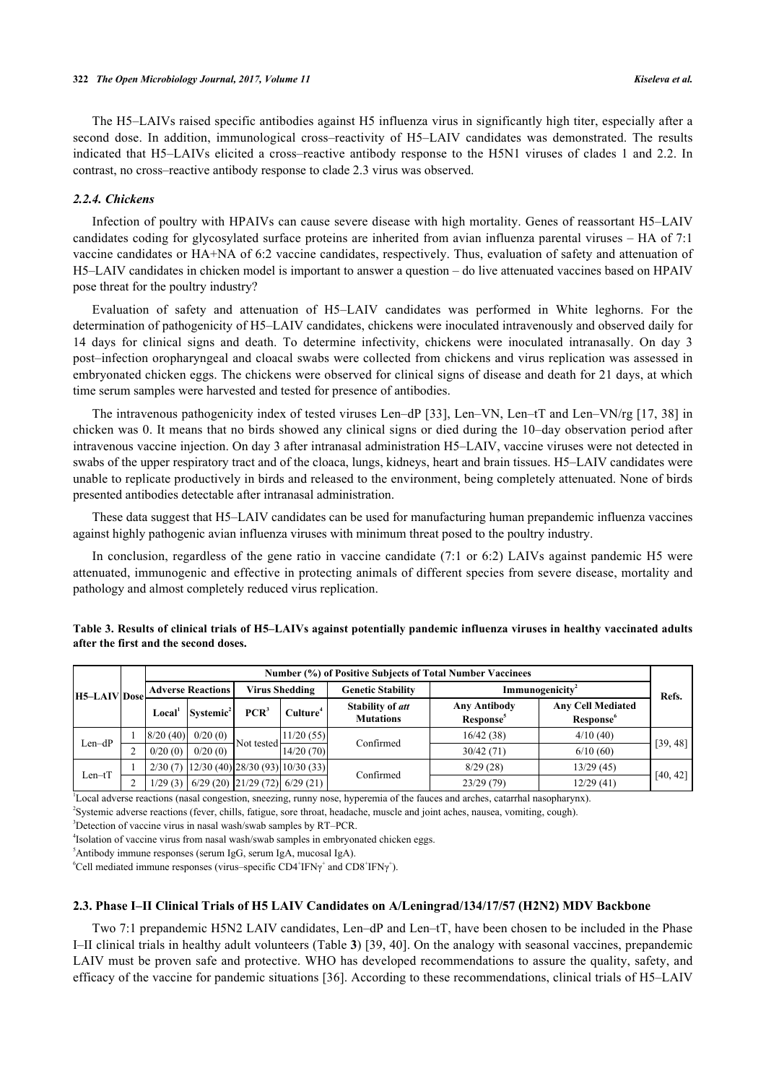The H5–LAIVs raised specific antibodies against H5 influenza virus in significantly high titer, especially after a second dose. In addition, immunological cross–reactivity of H5–LAIV candidates was demonstrated. The results indicated that H5–LAIVs elicited a cross–reactive antibody response to the H5N1 viruses of clades 1 and 2.2. In contrast, no cross–reactive antibody response to clade 2.3 virus was observed.

#### *2.2.4. Chickens*

Infection of poultry with HPAIVs can cause severe disease with high mortality. Genes of reassortant H5–LAIV candidates coding for glycosylated surface proteins are inherited from avian influenza parental viruses – HA of 7:1 vaccine candidates or HA+NA of 6:2 vaccine candidates, respectively. Thus, evaluation of safety and attenuation of H5–LAIV candidates in chicken model is important to answer a question – do live attenuated vaccines based on HPAIV pose threat for the poultry industry?

Evaluation of safety and attenuation of H5–LAIV candidates was performed in White leghorns. For the determination of pathogenicity of H5–LAIV candidates, chickens were inoculated intravenously and observed daily for 14 days for clinical signs and death. To determine infectivity, chickens were inoculated intranasally. On day 3 post–infection oropharyngeal and cloacal swabs were collected from chickens and virus replication was assessed in embryonated chicken eggs. The chickens were observed for clinical signs of disease and death for 21 days, at which time serum samples were harvested and tested for presence of antibodies.

The intravenous pathogenicity index of tested viruses Len–dP [[33](#page-11-1)], Len–VN, Len–tT and Len–VN/rg [\[17,](#page-10-12) [38](#page-11-15)] in chicken was 0. It means that no birds showed any clinical signs or died during the 10–day observation period after intravenous vaccine injection. On day 3 after intranasal administration H5–LAIV, vaccine viruses were not detected in swabs of the upper respiratory tract and of the cloaca, lungs, kidneys, heart and brain tissues. H5–LAIV candidates were unable to replicate productively in birds and released to the environment, being completely attenuated. None of birds presented antibodies detectable after intranasal administration.

These data suggest that H5–LAIV candidates can be used for manufacturing human prepandemic influenza vaccines against highly pathogenic avian influenza viruses with minimum threat posed to the poultry industry.

In conclusion, regardless of the gene ratio in vaccine candidate (7:1 or 6:2) LAIVs against pandemic H5 were attenuated, immunogenic and effective in protecting animals of different species from severe disease, mortality and pathology and almost completely reduced virus replication.

|                     | Number (%) of Positive Subjects of Total Number Vaccinees |                       |                                           |                      |                                             |                                              |                                                   |          |
|---------------------|-----------------------------------------------------------|-----------------------|-------------------------------------------|----------------------|---------------------------------------------|----------------------------------------------|---------------------------------------------------|----------|
| <b>H5-LAIV</b> Dose | <b>Adverse Reactions</b>                                  |                       | <b>Virus Shedding</b>                     |                      | <b>Genetic Stability</b>                    | Immunogenicity <sup>2</sup>                  |                                                   | Refs.    |
|                     | Local <sup>'</sup>                                        | Systemic <sup>2</sup> | $PCR^3$                                   | Culture <sup>4</sup> | <b>Stability of att</b><br><b>Mutations</b> | <b>Any Antibody</b><br>Response <sup>5</sup> | <b>Any Cell Mediated</b><br>Response <sup>o</sup> |          |
| $Len-dP$            | 8/20(40)                                                  | 0/20(0)               | -Not tested                               | 11/20(55)            | Confirmed                                   | 16/42(38)                                    | 4/10(40)                                          | [39, 48] |
|                     | 0/20(0)                                                   | 0/20(0)               |                                           | 14/20(70)            |                                             | 30/42(71)                                    | 6/10(60)                                          |          |
| $Len$ -t $T$        | 2/30(7)                                                   |                       | 12/30(40) 28/30(93) 10/30(33)             |                      | Confirmed                                   | 8/29(28)                                     | 13/29(45)                                         |          |
|                     |                                                           |                       | $1/29$ (3) 6/29 (20) 21/29 (72) 6/29 (21) |                      |                                             | 23/29(79)                                    | 12/29(41)                                         | [40, 42] |

<span id="page-6-0"></span>**Table 3. Results of clinical trials of H5–LAIVs against potentially pandemic influenza viruses in healthy vaccinated adults after the first and the second doses.**

1 Local adverse reactions (nasal congestion, sneezing, runny nose, hyperemia of the fauces and arches, catarrhal nasopharynx).

2 Systemic adverse reactions (fever, chills, fatigue, sore throat, headache, muscle and joint aches, nausea, vomiting, cough).

<sup>3</sup>Detection of vaccine virus in nasal wash/swab samples by RT–PCR.

4 Isolation of vaccine virus from nasal wash/swab samples in embryonated chicken eggs.

 $<sup>5</sup>$ Antibody immune responses (serum IgG, serum IgA, mucosal IgA).</sup>

 ${}^6$ Cell mediated immune responses (virus–specific CD4<sup>+</sup>IFN $\gamma^+$  and CD8<sup>+</sup>IFN $\gamma^+$ ).

#### **2.3. Phase I–II Clinical Trials of H5 LAIV Candidates on A/Leningrad/134/17/57 (H2N2) MDV Backbone**

Two 7:1 prepandemic H5N2 LAIV candidates, Len–dP and Len–tT, have been chosen to be included in the Phase I–II clinical trials in healthy adult volunteers (Table **[3](#page-6-0)**) [\[39](#page-12-0), [40](#page-12-2)]. On the analogy with seasonal vaccines, prepandemic LAIV must be proven safe and protective. WHO has developed recommendations to assure the quality, safety, and efficacy of the vaccine for pandemic situations [[36](#page-11-18)]. According to these recommendations, clinical trials of H5–LAIV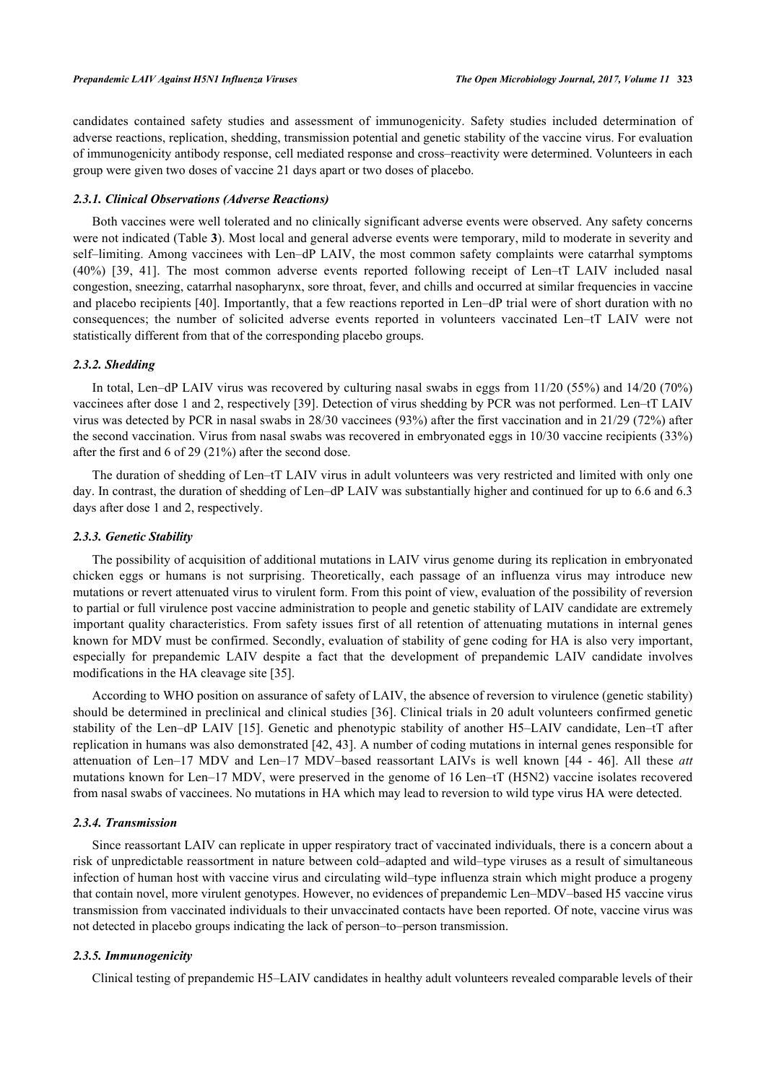candidates contained safety studies and assessment of immunogenicity. Safety studies included determination of adverse reactions, replication, shedding, transmission potential and genetic stability of the vaccine virus. For evaluation of immunogenicity antibody response, cell mediated response and cross–reactivity were determined. Volunteers in each group were given two doses of vaccine 21 days apart or two doses of placebo.

#### *2.3.1. Clinical Observations (Adverse Reactions)*

Both vaccines were well tolerated and no clinically significant adverse events were observed. Any safety concerns were not indicated (Table **[3](#page-6-0)**). Most local and general adverse events were temporary, mild to moderate in severity and self-limiting. Among vaccinees with Len–dP LAIV, the most common safety complaints were catarrhal symptoms (40%)[[39,](#page-12-0) [41\]](#page-12-4). The most common adverse events reported following receipt of Len–tT LAIV included nasal congestion, sneezing, catarrhal nasopharynx, sore throat, fever, and chills and occurred at similar frequencies in vaccine and placebo recipients [[40](#page-12-2)]. Importantly, that a few reactions reported in Len–dP trial were of short duration with no consequences; the number of solicited adverse events reported in volunteers vaccinated Len–tT LAIV were not statistically different from that of the corresponding placebo groups.

#### *2.3.2. Shedding*

In total, Len–dP LAIV virus was recovered by culturing nasal swabs in eggs from 11/20 (55%) and 14/20 (70%) vaccinees after dose 1 and 2, respectively [[39\]](#page-12-0). Detection of virus shedding by PCR was not performed. Len–tT LAIV virus was detected by PCR in nasal swabs in 28/30 vaccinees (93%) after the first vaccination and in 21/29 (72%) after the second vaccination. Virus from nasal swabs was recovered in embryonated eggs in 10/30 vaccine recipients (33%) after the first and 6 of 29 (21%) after the second dose.

The duration of shedding of Len–tT LAIV virus in adult volunteers was very restricted and limited with only one day. In contrast, the duration of shedding of Len–dP LAIV was substantially higher and continued for up to 6.6 and 6.3 days after dose 1 and 2, respectively.

#### *2.3.3. Genetic Stability*

The possibility of acquisition of additional mutations in LAIV virus genome during its replication in embryonated chicken eggs or humans is not surprising. Theoretically, each passage of an influenza virus may introduce new mutations or revert attenuated virus to virulent form. From this point of view, evaluation of the possibility of reversion to partial or full virulence post vaccine administration to people and genetic stability of LAIV candidate are extremely important quality characteristics. From safety issues first of all retention of attenuating mutations in internal genes known for MDV must be confirmed. Secondly, evaluation of stability of gene coding for HA is also very important, especially for prepandemic LAIV despite a fact that the development of prepandemic LAIV candidate involves modifications in the HA cleavage site [\[35](#page-11-17)].

According to WHO position on assurance of safety of LAIV, the absence of reversion to virulence (genetic stability) should be determined in preclinical and clinical studies [[36](#page-11-18)]. Clinical trials in 20 adult volunteers confirmed genetic stability of the Len–dP LAIV [[15\]](#page-10-11). Genetic and phenotypic stability of another H5–LAIV candidate, Len–tT after replication in humans was also demonstrated [[42,](#page-12-3) [43](#page-12-5)]. A number of coding mutations in internal genes responsible for attenuation of Len–17 MDV and Len–17 MDV–based reassortant LAIVs is well known[[44](#page-12-6) - [46\]](#page-12-7). All these *att* mutations known for Len–17 MDV, were preserved in the genome of 16 Len–tT (H5N2) vaccine isolates recovered from nasal swabs of vaccinees. No mutations in HA which may lead to reversion to wild type virus HA were detected.

#### *2.3.4. Transmission*

Since reassortant LAIV can replicate in upper respiratory tract of vaccinated individuals, there is a concern about a risk of unpredictable reassortment in nature between cold–adapted and wild–type viruses as a result of simultaneous infection of human host with vaccine virus and circulating wild–type influenza strain which might produce a progeny that contain novel, more virulent genotypes. However, no evidences of prepandemic Len–MDV–based H5 vaccine virus transmission from vaccinated individuals to their unvaccinated contacts have been reported. Of note, vaccine virus was not detected in placebo groups indicating the lack of person–to–person transmission.

### *2.3.5. Immunogenicity*

Clinical testing of prepandemic H5–LAIV candidates in healthy adult volunteers revealed comparable levels of their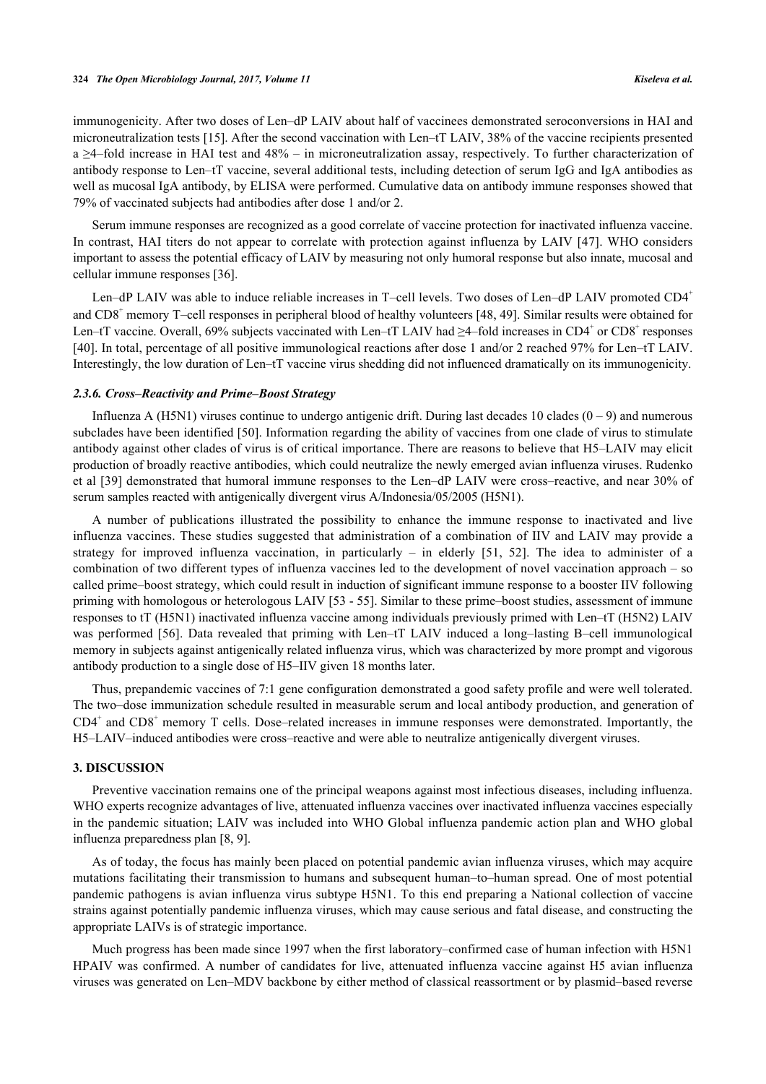immunogenicity. After two doses of Len–dP LAIV about half of vaccinees demonstrated seroconversions in HAI and microneutralization tests [\[15](#page-10-11)]. After the second vaccination with Len–tT LAIV, 38% of the vaccine recipients presented a ≥4–fold increase in HAI test and 48% – in microneutralization assay, respectively. To further characterization of antibody response to Len–tT vaccine, several additional tests, including detection of serum IgG and IgA antibodies as well as mucosal IgA antibody, by ELISA were performed. Cumulative data on antibody immune responses showed that 79% of vaccinated subjects had antibodies after dose 1 and/or 2.

Serum immune responses are recognized as a good correlate of vaccine protection for inactivated influenza vaccine. In contrast, HAI titers do not appear to correlate with protection against influenza by LAIV [\[47\]](#page-12-8). WHO considers important to assess the potential efficacy of LAIV by measuring not only humoral response but also innate, mucosal and cellular immune responses [\[36](#page-11-18)].

Len–dP LAIV was able to induce reliable increases in T–cell levels. Two doses of Len–dP LAIV promoted CD4<sup>+</sup> and CD8<sup>+</sup> memory T–cell responses in peripheral blood of healthy volunteers [\[48,](#page-12-1) [49\]](#page-12-9). Similar results were obtained for Len–tT vaccine. Overall, 69% subjects vaccinated with Len–tT LAIV had  $\geq 4$ –fold increases in CD4<sup>+</sup> or CD8<sup>+</sup> responses [\[40](#page-12-2)]. In total, percentage of all positive immunological reactions after dose 1 and/or 2 reached 97% for Len–tT LAIV. Interestingly, the low duration of Len–tT vaccine virus shedding did not influenced dramatically on its immunogenicity.

#### *2.3.6. Cross–Reactivity and Prime–Boost Strategy*

Influenza A (H5N1) viruses continue to undergo antigenic drift. During last decades 10 clades  $(0 - 9)$  and numerous subclades have been identified [[50\]](#page-12-10). Information regarding the ability of vaccines from one clade of virus to stimulate antibody against other clades of virus is of critical importance. There are reasons to believe that H5–LAIV may elicit production of broadly reactive antibodies, which could neutralize the newly emerged avian influenza viruses. Rudenko et al [\[39\]](#page-12-0) demonstrated that humoral immune responses to the Len–dP LAIV were cross–reactive, and near 30% of serum samples reacted with antigenically divergent virus A/Indonesia/05/2005 (H5N1).

A number of publications illustrated the possibility to enhance the immune response to inactivated and live influenza vaccines. These studies suggested that administration of a combination of IIV and LAIV may provide a strategy for improved influenza vaccination, in particularly – in elderly[[51](#page-12-11), [52\]](#page-12-12). The idea to administer of a combination of two different types of influenza vaccines led to the development of novel vaccination approach – so called prime–boost strategy, which could result in induction of significant immune response to a booster IIV following priming with homologous or heterologous LAIV [[53](#page-12-13) - [55\]](#page-12-14). Similar to these prime–boost studies, assessment of immune responses to tT (H5N1) inactivated influenza vaccine among individuals previously primed with Len–tT (H5N2) LAIV was performed [\[56](#page-12-15)]. Data revealed that priming with Len–tT LAIV induced a long–lasting B–cell immunological memory in subjects against antigenically related influenza virus, which was characterized by more prompt and vigorous antibody production to a single dose of H5–IIV given 18 months later.

Thus, prepandemic vaccines of 7:1 gene configuration demonstrated a good safety profile and were well tolerated. The two–dose immunization schedule resulted in measurable serum and local antibody production, and generation of CD4<sup>+</sup> and CD8<sup>+</sup> memory T cells. Dose–related increases in immune responses were demonstrated. Importantly, the H5–LAIV–induced antibodies were cross–reactive and were able to neutralize antigenically divergent viruses.

#### **3. DISCUSSION**

Preventive vaccination remains one of the principal weapons against most infectious diseases, including influenza. WHO experts recognize advantages of live, attenuated influenza vaccines over inactivated influenza vaccines especially in the pandemic situation; LAIV was included into WHO Global influenza pandemic action plan and WHO global influenza preparedness plan [\[8](#page-10-6), [9](#page-10-7)].

As of today, the focus has mainly been placed on potential pandemic avian influenza viruses, which may acquire mutations facilitating their transmission to humans and subsequent human–to–human spread. One of most potential pandemic pathogens is avian influenza virus subtype H5N1. To this end preparing a National collection of vaccine strains against potentially pandemic influenza viruses, which may cause serious and fatal disease, and constructing the appropriate LAIVs is of strategic importance.

Much progress has been made since 1997 when the first laboratory–confirmed case of human infection with H5N1 HPAIV was confirmed. A number of candidates for live, attenuated influenza vaccine against H5 avian influenza viruses was generated on Len–MDV backbone by either method of classical reassortment or by plasmid–based reverse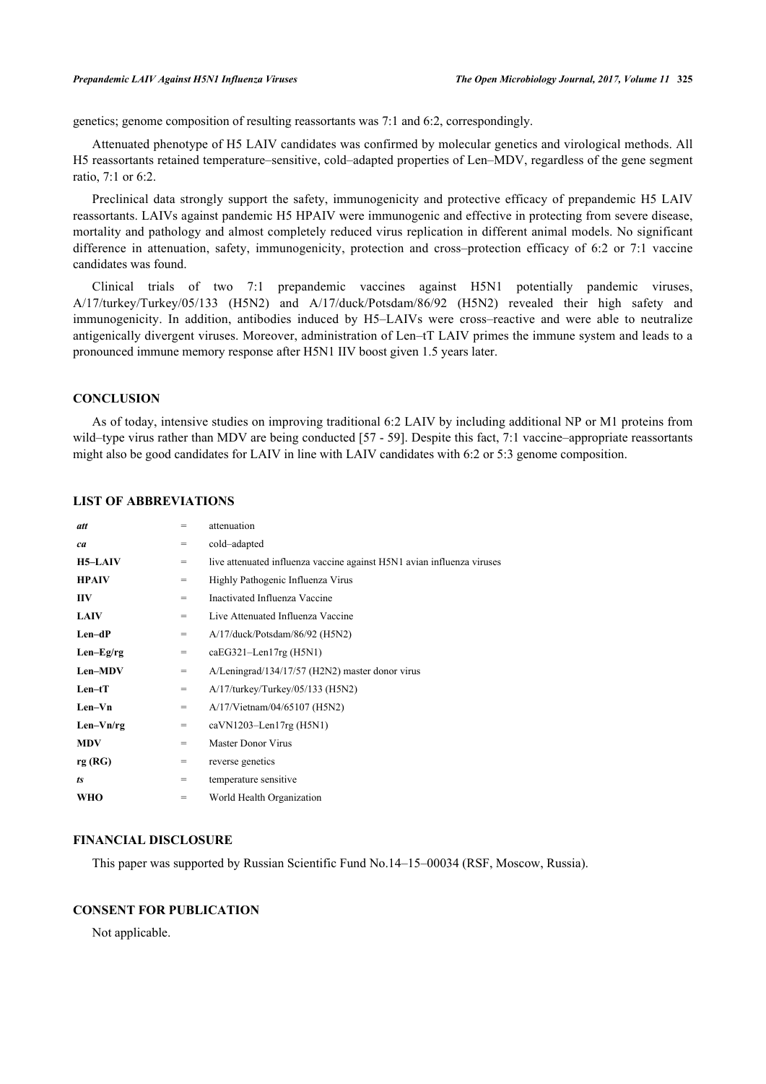genetics; genome composition of resulting reassortants was 7:1 and 6:2, correspondingly.

Attenuated phenotype of H5 LAIV candidates was confirmed by molecular genetics and virological methods. All H5 reassortants retained temperature–sensitive, cold–adapted properties of Len–MDV, regardless of the gene segment ratio, 7:1 or 6:2.

Preclinical data strongly support the safety, immunogenicity and protective efficacy of prepandemic H5 LAIV reassortants. LAIVs against pandemic H5 HPAIV were immunogenic and effective in protecting from severe disease, mortality and pathology and almost completely reduced virus replication in different animal models. No significant difference in attenuation, safety, immunogenicity, protection and cross–protection efficacy of 6:2 or 7:1 vaccine candidates was found.

Clinical trials of two 7:1 prepandemic vaccines against H5N1 potentially pandemic viruses, А/17/turkey/Turkey/05/133 (H5N2) and A/17/duck/Potsdam/86/92 (H5N2) revealed their high safety and immunogenicity. In addition, antibodies induced by H5–LAIVs were cross–reactive and were able to neutralize antigenically divergent viruses. Moreover, administration of Len–tT LAIV primes the immune system and leads to a pronounced immune memory response after H5N1 IIV boost given 1.5 years later.

# **CONCLUSION**

As of today, intensive studies on improving traditional 6:2 LAIV by including additional NP or M1 proteins from wild-type virus rather than MDV are being conducted [\[57](#page-12-16) - [59](#page-13-0)]. Despite this fact, 7:1 vaccine-appropriate reassortants might also be good candidates for LAIV in line with LAIV candidates with 6:2 or 5:3 genome composition.

| att            | $=$ | attenuation                                                            |
|----------------|-----|------------------------------------------------------------------------|
| ca             | $=$ | cold-adapted                                                           |
| <b>H5–LAIV</b> | $=$ | live attenuated influenza vaccine against H5N1 avian influenza viruses |
| <b>HPAIV</b>   | $=$ | Highly Pathogenic Influenza Virus                                      |
| <b>IIV</b>     | $=$ | Inactivated Influenza Vaccine                                          |
| <b>LAIV</b>    | $=$ | Live Attenuated Influenza Vaccine                                      |
| $Len-dP$       | $=$ | A/17/duck/Potsdam/86/92 (H5N2)                                         |
| $Len-Eg/rg$    | $=$ | $caEG321$ -Len $17rg$ (H5N1)                                           |
| Len-MDV        | $=$ | A/Leningrad/134/17/57 (H2N2) master donor virus                        |
| $Len-tT$       | $=$ | $A/17$ /turkey/Turkey/05/133 (H5N2)                                    |
| $Len-Vn$       | $=$ | A/17/Vietnam/04/65107 (H5N2)                                           |
| $Len-Vn/rg$    | $=$ | $caVN1203$ -Len17rg (H5N1)                                             |
| <b>MDV</b>     | $=$ | <b>Master Donor Virus</b>                                              |
| rg(RG)         | $=$ | reverse genetics                                                       |
| ts             | $=$ | temperature sensitive                                                  |
| WHO            | $=$ | World Health Organization                                              |
|                |     |                                                                        |

# **LIST OF ABBREVIATIONS**

# **FINANCIAL DISCLOSURE**

This paper was supported by Russian Scientific Fund No.14–15–00034 (RSF, Moscow, Russia).

# **CONSENT FOR PUBLICATION**

Not applicable.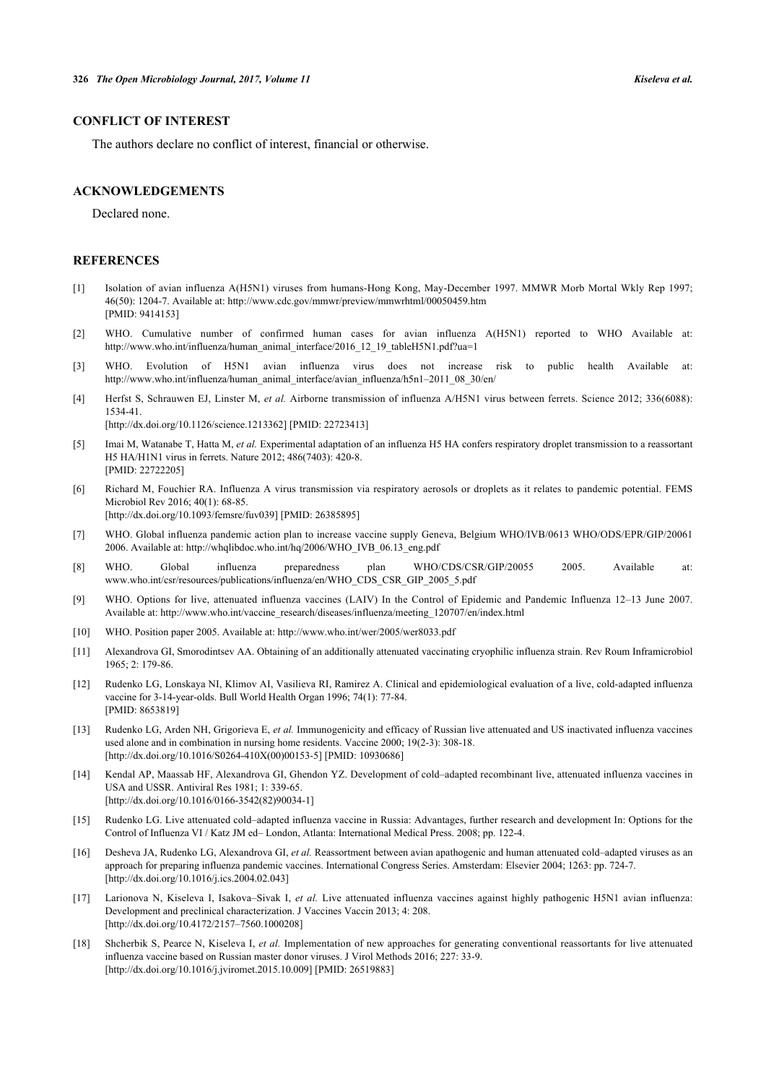# **CONFLICT OF INTEREST**

The authors declare no conflict of interest, financial or otherwise.

# **ACKNOWLEDGEMENTS**

Declared none.

#### **REFERENCES**

- <span id="page-10-0"></span>[1] Isolation of avian influenza A(H5N1) viruses from humans-Hong Kong, May-December 1997. MMWR Morb Mortal Wkly Rep 1997; 46(50): 1204-7. Available at:<http://www.cdc.gov/mmwr/preview/mmwrhtml/00050459.htm> [PMID: [9414153\]](http://www.ncbi.nlm.nih.gov/pubmed/9414153)
- <span id="page-10-1"></span>[2] WHO. Cumulative number of confirmed human cases for avian influenza A(H5N1) reported to WHO Available at: [http://www.who.int/influenza/human\\_animal\\_interface/2016\\_12\\_19\\_tableH5N1.pdf?ua=1](http://www.who.int/influenza/human_animal_interface/2016_12_19_tableH5N1.pdf?ua=1)
- <span id="page-10-2"></span>[3] WHO. Evolution of H5N1 avian influenza virus does not increase risk to public health Available at: [http://www.who.int/influenza/human\\_animal\\_interface/avian\\_influenza/h5n1–2011\\_08\\_30/en/](http://www.who.int/influenza/human_animal_interface/avian_influenza/h5n1–2011_08_30/en/)
- <span id="page-10-3"></span>[4] Herfst S, Schrauwen EJ, Linster M, *et al.* Airborne transmission of influenza A/H5N1 virus between ferrets. Science 2012; 336(6088): 1534-41.

[\[http://dx.doi.org/10.1126/science.1213362](http://dx.doi.org/10.1126/science.1213362)] [PMID: [22723413\]](http://www.ncbi.nlm.nih.gov/pubmed/22723413)

- <span id="page-10-15"></span>[5] Imai M, Watanabe T, Hatta M, *et al.* Experimental adaptation of an influenza H5 HA confers respiratory droplet transmission to a reassortant H5 HA/H1N1 virus in ferrets. Nature 2012; 486(7403): 420-8. [PMID: [22722205\]](http://www.ncbi.nlm.nih.gov/pubmed/22722205)
- <span id="page-10-4"></span>[6] Richard M, Fouchier RA. Influenza A virus transmission via respiratory aerosols or droplets as it relates to pandemic potential. FEMS Microbiol Rev 2016; 40(1): 68-85. [\[http://dx.doi.org/10.1093/femsre/fuv039](http://dx.doi.org/10.1093/femsre/fuv039)] [PMID: [26385895](http://www.ncbi.nlm.nih.gov/pubmed/26385895)]
- <span id="page-10-5"></span>[7] WHO. Global influenza pandemic action plan to increase vaccine supply Geneva, Belgium WHO/IVB/0613 WHO/ODS/EPR/GIP/20061 2006. Available at: [http://whqlibdoc.who.int/hq/2006/WHO\\_IVB\\_06.13\\_eng.pdf](http://whqlibdoc.who.int/hq/2006/WHO_IVB_06.13_eng.pdf)
- <span id="page-10-6"></span>[8] WHO. Global influenza preparedness plan WHO/CDS/CSR/GIP/20055 2005. Available at: [www.who.int/csr/resources/publications/influenza/en/WHO\\_CDS\\_CSR\\_GIP\\_2005\\_5.pdf](http://www.who.int/csr/resources/publications/influenza/en/WHO_CDS_CSR_GIP_2005_5.pdf)
- <span id="page-10-7"></span>[9] WHO. Options for live, attenuated influenza vaccines (LAIV) In the Control of Epidemic and Pandemic Influenza 12–13 June 2007. Available at: [http://www.who.int/vaccine\\_research/diseases/influenza/meeting\\_120707/en/index.html](http://www.who.int/vaccine_research/diseases/influenza/meeting_120707/en/index.html)
- <span id="page-10-8"></span>[10] WHO. Position paper 2005. Available at: <http://www.who.int/wer/2005/wer8033.pdf>
- <span id="page-10-9"></span>[11] Alexandrova GI, Smorodintsev AA. Obtaining of an additionally attenuated vaccinating cryophilic influenza strain. Rev Roum Inframicrobiol 1965; 2: 179-86.
- <span id="page-10-10"></span>[12] Rudenko LG, Lonskaya NI, Klimov AI, Vasilieva RI, Ramirez A. Clinical and epidemiological evaluation of a live, cold-adapted influenza vaccine for 3-14-year-olds. Bull World Health Organ 1996; 74(1): 77-84. [PMID: [8653819\]](http://www.ncbi.nlm.nih.gov/pubmed/8653819)
- [13] Rudenko LG, Arden NH, Grigorieva E, *et al.* Immunogenicity and efficacy of Russian live attenuated and US inactivated influenza vaccines used alone and in combination in nursing home residents. Vaccine 2000; 19(2-3): 308-18. [\[http://dx.doi.org/10.1016/S0264-410X\(00\)00153-5\]](http://dx.doi.org/10.1016/S0264-410X(00)00153-5) [PMID: [10930686](http://www.ncbi.nlm.nih.gov/pubmed/10930686)]
- [14] Kendal AP, Maassab HF, Alexandrova GI, Ghendon YZ. Development of cold–adapted recombinant live, attenuated influenza vaccines in USA and USSR. Antiviral Res 1981; 1: 339-65. [\[http://dx.doi.org/10.1016/0166-3542\(82\)90034-1](http://dx.doi.org/10.1016/0166-3542(82)90034-1)]
- <span id="page-10-11"></span>[15] Rudenko LG. Live attenuated cold–adapted influenza vaccine in Russia: Advantages, further research and development In: Options for the Control of Influenza VI / Katz JM ed– London, Atlanta: International Medical Press. 2008; pp. 122-4.
- <span id="page-10-13"></span>[16] Desheva JA, Rudenko LG, Alexandrova GI, *et al.* Reassortment between avian apathogenic and human attenuated cold–adapted viruses as an approach for preparing influenza pandemic vaccines. International Congress Series. Amsterdam: Elsevier 2004; 1263: pp. 724-7. [\[http://dx.doi.org/10.1016/j.ics.2004.02.043\]](http://dx.doi.org/10.1016/j.ics.2004.02.043)
- <span id="page-10-12"></span>[17] Larionova N, Kiseleva I, Isakova–Sivak I, *et al.* Live attenuated influenza vaccines against highly pathogenic H5N1 avian influenza: Development and preclinical characterization. J Vaccines Vaccin 2013; 4: 208. [\[http://dx.doi.org/10.4172/2157–7560.1000208\]](http://dx.doi.org/10.4172/2157%E2%80%937560.1000208)
- <span id="page-10-14"></span>[18] Shcherbik S, Pearce N, Kiseleva I, *et al.* Implementation of new approaches for generating conventional reassortants for live attenuated influenza vaccine based on Russian master donor viruses. J Virol Methods 2016; 227: 33-9. [\[http://dx.doi.org/10.1016/j.jviromet.2015.10.009](http://dx.doi.org/10.1016/j.jviromet.2015.10.009)] [PMID: [26519883\]](http://www.ncbi.nlm.nih.gov/pubmed/26519883)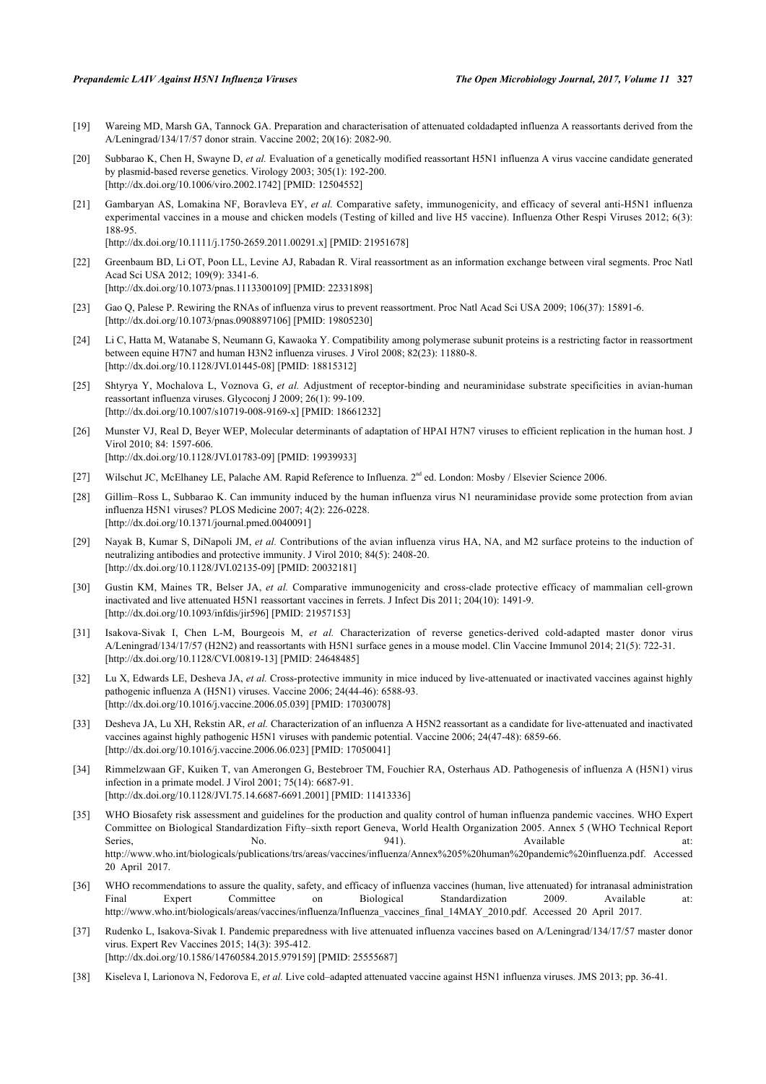- <span id="page-11-4"></span>[19] Wareing MD, Marsh GA, Tannock GA. Preparation and characterisation of attenuated coldadapted influenza A reassortants derived from the A/Leningrad/134/17/57 donor strain. Vaccine 2002; 20(16): 2082-90.
- <span id="page-11-5"></span>[20] Subbarao K, Chen H, Swayne D, *et al.* Evaluation of a genetically modified reassortant H5N1 influenza A virus vaccine candidate generated by plasmid-based reverse genetics. Virology 2003; 305(1): 192-200. [\[http://dx.doi.org/10.1006/viro.2002.1742\]](http://dx.doi.org/10.1006/viro.2002.1742) [PMID: [12504552](http://www.ncbi.nlm.nih.gov/pubmed/12504552)]
- <span id="page-11-6"></span>[21] Gambaryan AS, Lomakina NF, Boravleva EY, *et al.* Comparative safety, immunogenicity, and efficacy of several anti-H5N1 influenza experimental vaccines in a mouse and chicken models (Testing of killed and live H5 vaccine). Influenza Other Respi Viruses 2012; 6(3): 188-95. [\[http://dx.doi.org/10.1111/j.1750-2659.2011.00291.x\]](http://dx.doi.org/10.1111/j.1750-2659.2011.00291.x) [PMID: [21951678](http://www.ncbi.nlm.nih.gov/pubmed/21951678)]
- <span id="page-11-7"></span>[22] Greenbaum BD, Li OT, Poon LL, Levine AJ, Rabadan R. Viral reassortment as an information exchange between viral segments. Proc Natl Acad Sci USA 2012; 109(9): 3341-6. [\[http://dx.doi.org/10.1073/pnas.1113300109](http://dx.doi.org/10.1073/pnas.1113300109)] [PMID: [22331898](http://www.ncbi.nlm.nih.gov/pubmed/22331898)]
- [23] Gao Q, Palese P. Rewiring the RNAs of influenza virus to prevent reassortment. Proc Natl Acad Sci USA 2009; 106(37): 15891-6. [\[http://dx.doi.org/10.1073/pnas.0908897106](http://dx.doi.org/10.1073/pnas.0908897106)] [PMID: [19805230](http://www.ncbi.nlm.nih.gov/pubmed/19805230)]
- <span id="page-11-8"></span>[24] Li C, Hatta M, Watanabe S, Neumann G, Kawaoka Y. Compatibility among polymerase subunit proteins is a restricting factor in reassortment between equine H7N7 and human H3N2 influenza viruses. J Virol 2008; 82(23): 11880-8. [\[http://dx.doi.org/10.1128/JVI.01445-08](http://dx.doi.org/10.1128/JVI.01445-08)] [PMID: [18815312\]](http://www.ncbi.nlm.nih.gov/pubmed/18815312)
- <span id="page-11-9"></span>[25] Shtyrya Y, Mochalova L, Voznova G, *et al.* Adjustment of receptor-binding and neuraminidase substrate specificities in avian-human reassortant influenza viruses. Glycoconj J 2009; 26(1): 99-109. [\[http://dx.doi.org/10.1007/s10719-008-9169-x\]](http://dx.doi.org/10.1007/s10719-008-9169-x) [PMID: [18661232](http://www.ncbi.nlm.nih.gov/pubmed/18661232)]
- <span id="page-11-10"></span>[26] Munster VJ, Real D, Beyer WEP, Molecular determinants of adaptation of HPAI H7N7 viruses to efficient replication in the human host. J Virol 2010; 84: 1597-606. [\[http://dx.doi.org/10.1128/JVI.01783-09](http://dx.doi.org/10.1128/JVI.01783-09)] [PMID: [19939933\]](http://www.ncbi.nlm.nih.gov/pubmed/19939933)
- <span id="page-11-11"></span>[27] Wilschut JC, McElhaney LE, Palache AM. Rapid Reference to Influenza. 2<sup>nd</sup> ed. London: Mosby / Elsevier Science 2006.
- <span id="page-11-12"></span>[28] Gillim–Ross L, Subbarao K. Can immunity induced by the human influenza virus N1 neuraminidase provide some protection from avian influenza H5N1 viruses? PLOS Medicine 2007; 4(2): 226-0228. [\[http://dx.doi.org/10.1371/journal.pmed.0040091](http://dx.doi.org/10.1371/journal.pmed.0040091)]
- <span id="page-11-13"></span>[29] Nayak B, Kumar S, DiNapoli JM, *et al.* Contributions of the avian influenza virus HA, NA, and M2 surface proteins to the induction of neutralizing antibodies and protective immunity. J Virol 2010; 84(5): 2408-20. [\[http://dx.doi.org/10.1128/JVI.02135-09](http://dx.doi.org/10.1128/JVI.02135-09)] [PMID: [20032181\]](http://www.ncbi.nlm.nih.gov/pubmed/20032181)
- <span id="page-11-2"></span>[30] Gustin KM, Maines TR, Belser JA, *et al.* Comparative immunogenicity and cross-clade protective efficacy of mammalian cell-grown inactivated and live attenuated H5N1 reassortant vaccines in ferrets. J Infect Dis 2011; 204(10): 1491-9. [\[http://dx.doi.org/10.1093/infdis/jir596](http://dx.doi.org/10.1093/infdis/jir596)] [PMID: [21957153\]](http://www.ncbi.nlm.nih.gov/pubmed/21957153)
- <span id="page-11-3"></span>[31] Isakova-Sivak I, Chen L-M, Bourgeois M, *et al.* Characterization of reverse genetics-derived cold-adapted master donor virus A/Leningrad/134/17/57 (H2N2) and reassortants with H5N1 surface genes in a mouse model. Clin Vaccine Immunol 2014; 21(5): 722-31. [\[http://dx.doi.org/10.1128/CVI.00819-13](http://dx.doi.org/10.1128/CVI.00819-13)] [PMID: [24648485\]](http://www.ncbi.nlm.nih.gov/pubmed/24648485)
- <span id="page-11-0"></span>[32] Lu X, Edwards LE, Desheva JA, *et al.* Cross-protective immunity in mice induced by live-attenuated or inactivated vaccines against highly pathogenic influenza A (H5N1) viruses. Vaccine 2006; 24(44-46): 6588-93. [\[http://dx.doi.org/10.1016/j.vaccine.2006.05.039](http://dx.doi.org/10.1016/j.vaccine.2006.05.039)] [PMID: [17030078](http://www.ncbi.nlm.nih.gov/pubmed/17030078)]
- <span id="page-11-1"></span>[33] Desheva JA, Lu XH, Rekstin AR, *et al.* Characterization of an influenza A H5N2 reassortant as a candidate for live-attenuated and inactivated vaccines against highly pathogenic H5N1 viruses with pandemic potential. Vaccine 2006; 24(47-48): 6859-66. [\[http://dx.doi.org/10.1016/j.vaccine.2006.06.023](http://dx.doi.org/10.1016/j.vaccine.2006.06.023)] [PMID: [17050041](http://www.ncbi.nlm.nih.gov/pubmed/17050041)]
- <span id="page-11-16"></span>[34] Rimmelzwaan GF, Kuiken T, van Amerongen G, Bestebroer TM, Fouchier RA, Osterhaus AD. Pathogenesis of influenza A (H5N1) virus infection in a primate model. J Virol 2001; 75(14): 6687-91. [\[http://dx.doi.org/10.1128/JVI.75.14.6687-6691.2001](http://dx.doi.org/10.1128/JVI.75.14.6687-6691.2001)] [PMID: [11413336\]](http://www.ncbi.nlm.nih.gov/pubmed/11413336)
- <span id="page-11-17"></span>[35] WHO Biosafety risk assessment and guidelines for the production and quality control of human influenza pandemic vaccines. WHO Expert Committee on Biological Standardization Fifty–sixth report Geneva, World Health Organization 2005. Annex 5 (WHO Technical Report Series, No. No. 941). Available at: <http://www.who.int/biologicals/publications/trs/areas/vaccines/influenza/Annex%205%20human%20pandemic%20influenza.pdf>. Accessed 20 April 2017.
- <span id="page-11-18"></span>[36] WHO recommendations to assure the quality, safety, and efficacy of influenza vaccines (human, live attenuated) for intranasal administration Final Expert Committee on Biological Standardization 2009. Available at: [http://www.who.int/biologicals/areas/vaccines/influenza/Influenza\\_vaccines\\_final\\_14MAY\\_2010.pdf](http://www.who.int/biologicals/areas/vaccines/influenza/Influenza_vaccines_final_14MAY_2010.pdf). Accessed 20 April 2017.
- <span id="page-11-14"></span>[37] Rudenko L, Isakova-Sivak I. Pandemic preparedness with live attenuated influenza vaccines based on A/Leningrad/134/17/57 master donor virus. Expert Rev Vaccines 2015; 14(3): 395-412. [\[http://dx.doi.org/10.1586/14760584.2015.979159\]](http://dx.doi.org/10.1586/14760584.2015.979159) [PMID: [25555687](http://www.ncbi.nlm.nih.gov/pubmed/25555687)]
- <span id="page-11-15"></span>[38] Kiseleva I, Larionova N, Fedorova E, *et al.* Live cold–adapted attenuated vaccine against H5N1 influenza viruses. JMS 2013; pp. 36-41.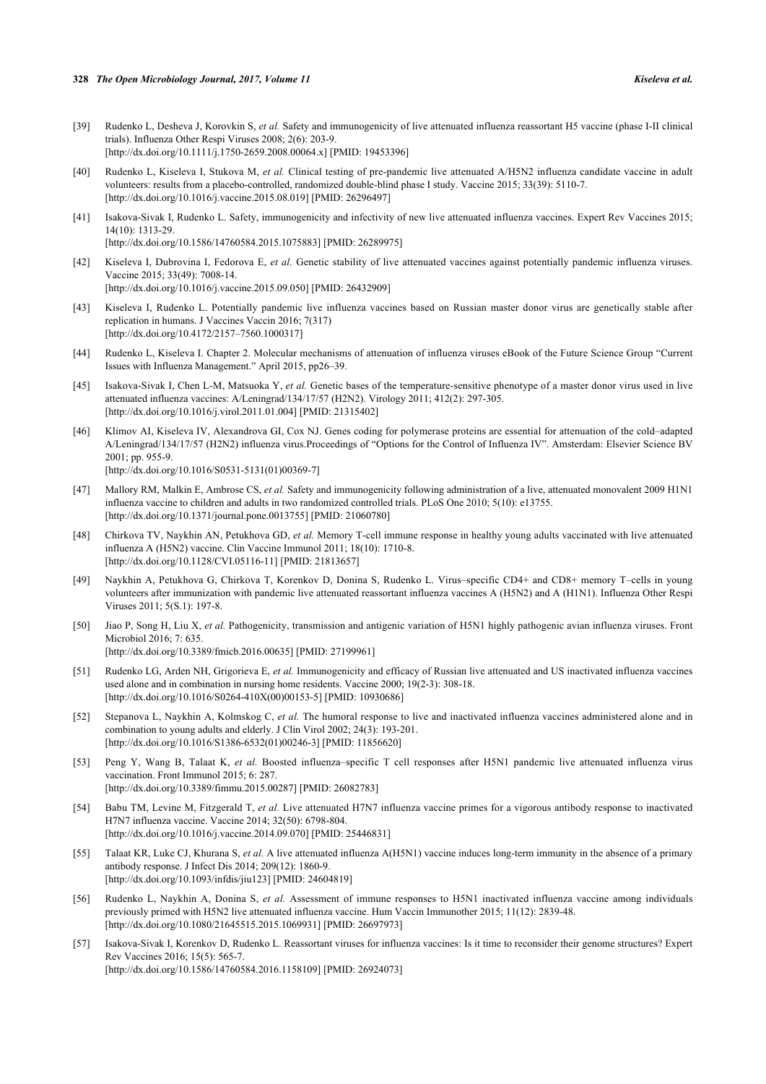- <span id="page-12-0"></span>[39] Rudenko L, Desheva J, Korovkin S, *et al.* Safety and immunogenicity of live attenuated influenza reassortant H5 vaccine (phase I-II clinical trials). Influenza Other Respi Viruses 2008; 2(6): 203-9. [\[http://dx.doi.org/10.1111/j.1750-2659.2008.00064.x\]](http://dx.doi.org/10.1111/j.1750-2659.2008.00064.x) [PMID: [19453396](http://www.ncbi.nlm.nih.gov/pubmed/19453396)]
- <span id="page-12-2"></span>[40] Rudenko L, Kiseleva I, Stukova M, *et al.* Clinical testing of pre-pandemic live attenuated A/H5N2 influenza candidate vaccine in adult volunteers: results from a placebo-controlled, randomized double-blind phase I study. Vaccine 2015; 33(39): 5110-7. [\[http://dx.doi.org/10.1016/j.vaccine.2015.08.019](http://dx.doi.org/10.1016/j.vaccine.2015.08.019)] [PMID: [26296497](http://www.ncbi.nlm.nih.gov/pubmed/26296497)]
- <span id="page-12-4"></span>[41] Isakova-Sivak I, Rudenko L. Safety, immunogenicity and infectivity of new live attenuated influenza vaccines. Expert Rev Vaccines 2015; 14(10): 1313-29. [\[http://dx.doi.org/10.1586/14760584.2015.1075883\]](http://dx.doi.org/10.1586/14760584.2015.1075883) [PMID: [26289975](http://www.ncbi.nlm.nih.gov/pubmed/26289975)]
- <span id="page-12-3"></span>[42] Kiseleva I, Dubrovina I, Fedorova E, *et al.* Genetic stability of live attenuated vaccines against potentially pandemic influenza viruses. Vaccine 2015; 33(49): 7008-14. [\[http://dx.doi.org/10.1016/j.vaccine.2015.09.050](http://dx.doi.org/10.1016/j.vaccine.2015.09.050)] [PMID: [26432909](http://www.ncbi.nlm.nih.gov/pubmed/26432909)]
- <span id="page-12-5"></span>[43] Kiseleva I, Rudenko L. Potentially pandemic live influenza vaccines based on Russian master donor virus are genetically stable after replication in humans. J Vaccines Vaccin 2016; 7(317) [\[http://dx.doi.org/10.4172/2157–7560.1000317\]](http://dx.doi.org/10.4172/2157%E2%80%937560.1000317)
- <span id="page-12-6"></span>[44] Rudenko L, Kiseleva I. Chapter 2. Molecular mechanisms of attenuation of influenza viruses eBook of the Future Science Group "Current Issues with Influenza Management." April 2015, pp26–39.
- [45] Isakova-Sivak I, Chen L-M, Matsuoka Y, *et al.* Genetic bases of the temperature-sensitive phenotype of a master donor virus used in live attenuated influenza vaccines: A/Leningrad/134/17/57 (H2N2). Virology 2011; 412(2): 297-305. [\[http://dx.doi.org/10.1016/j.virol.2011.01.004](http://dx.doi.org/10.1016/j.virol.2011.01.004)] [PMID: [21315402\]](http://www.ncbi.nlm.nih.gov/pubmed/21315402)
- <span id="page-12-7"></span>[46] Klimov AI, Kiseleva IV, Alexandrova GI, Cox NJ. Genes coding for polymerase proteins are essential for attenuation of the cold–adapted A/Leningrad/134/17/57 (H2N2) influenza virus.Proceedings of "Options for the Control of Influenza IV". Amsterdam: Elsevier Science BV 2001; pp. 955-9. [\[http://dx.doi.org/10.1016/S0531-5131\(01\)00369-7\]](http://dx.doi.org/10.1016/S0531-5131(01)00369-7)
- <span id="page-12-8"></span>[47] Mallory RM, Malkin E, Ambrose CS, *et al.* Safety and immunogenicity following administration of a live, attenuated monovalent 2009 H1N1 influenza vaccine to children and adults in two randomized controlled trials. PLoS One 2010; 5(10): e13755. [\[http://dx.doi.org/10.1371/journal.pone.0013755](http://dx.doi.org/10.1371/journal.pone.0013755)] [PMID: [21060780\]](http://www.ncbi.nlm.nih.gov/pubmed/21060780)
- <span id="page-12-1"></span>[48] Chirkova TV, Naykhin AN, Petukhova GD, *et al.* Memory T-cell immune response in healthy young adults vaccinated with live attenuated influenza A (H5N2) vaccine. Clin Vaccine Immunol 2011; 18(10): 1710-8. [\[http://dx.doi.org/10.1128/CVI.05116-11](http://dx.doi.org/10.1128/CVI.05116-11)] [PMID: [21813657\]](http://www.ncbi.nlm.nih.gov/pubmed/21813657)
- <span id="page-12-9"></span>[49] Naykhin A, Petukhova G, Chirkova T, Korenkov D, Donina S, Rudenko L. Virus–specific CD4+ and CD8+ memory T–cells in young volunteers after immunization with pandemic live attenuated reassortant influenza vaccines A (H5N2) and A (H1N1). Influenza Other Respi Viruses 2011; 5(S.1): 197-8.
- <span id="page-12-10"></span>[50] Jiao P, Song H, Liu X, *et al.* Pathogenicity, transmission and antigenic variation of H5N1 highly pathogenic avian influenza viruses. Front Microbiol 2016; 7: 635. [\[http://dx.doi.org/10.3389/fmicb.2016.00635](http://dx.doi.org/10.3389/fmicb.2016.00635)] [PMID: [27199961](http://www.ncbi.nlm.nih.gov/pubmed/27199961)]
- <span id="page-12-11"></span>[51] Rudenko LG, Arden NH, Grigorieva E, *et al.* Immunogenicity and efficacy of Russian live attenuated and US inactivated influenza vaccines used alone and in combination in nursing home residents. Vaccine 2000; 19(2-3): 308-18. [\[http://dx.doi.org/10.1016/S0264-410X\(00\)00153-5\]](http://dx.doi.org/10.1016/S0264-410X(00)00153-5) [PMID: [10930686](http://www.ncbi.nlm.nih.gov/pubmed/10930686)]
- <span id="page-12-12"></span>[52] Stepanova L, Naykhin A, Kolmskog C, et al. The humoral response to live and inactivated influenza vaccines administered alone and in combination to young adults and elderly. J Clin Virol 2002; 24(3): 193-201. [\[http://dx.doi.org/10.1016/S1386-6532\(01\)00246-3\]](http://dx.doi.org/10.1016/S1386-6532(01)00246-3) [PMID: [11856620](http://www.ncbi.nlm.nih.gov/pubmed/11856620)]
- <span id="page-12-13"></span>[53] Peng Y, Wang B, Talaat K, *et al.* Boosted influenza–specific T cell responses after H5N1 pandemic live attenuated influenza virus vaccination. Front Immunol 2015; 6: 287. [\[http://dx.doi.org/10.3389/fimmu.2015.00287](http://dx.doi.org/10.3389/fimmu.2015.00287)] [PMID: [26082783\]](http://www.ncbi.nlm.nih.gov/pubmed/26082783)
- [54] Babu TM, Levine M, Fitzgerald T, *et al.* Live attenuated H7N7 influenza vaccine primes for a vigorous antibody response to inactivated H7N7 influenza vaccine. Vaccine 2014; 32(50): 6798-804. [\[http://dx.doi.org/10.1016/j.vaccine.2014.09.070](http://dx.doi.org/10.1016/j.vaccine.2014.09.070)] [PMID: [25446831](http://www.ncbi.nlm.nih.gov/pubmed/25446831)]
- <span id="page-12-14"></span>[55] Talaat KR, Luke CJ, Khurana S, *et al.* A live attenuated influenza A(H5N1) vaccine induces long-term immunity in the absence of a primary antibody response. J Infect Dis 2014; 209(12): 1860-9. [\[http://dx.doi.org/10.1093/infdis/jiu123\]](http://dx.doi.org/10.1093/infdis/jiu123) [PMID: [24604819](http://www.ncbi.nlm.nih.gov/pubmed/24604819)]
- <span id="page-12-15"></span>[56] Rudenko L, Naykhin A, Donina S, *et al.* Assessment of immune responses to H5N1 inactivated influenza vaccine among individuals previously primed with H5N2 live attenuated influenza vaccine. Hum Vaccin Immunother 2015; 11(12): 2839-48. [\[http://dx.doi.org/10.1080/21645515.2015.1069931\]](http://dx.doi.org/10.1080/21645515.2015.1069931) [PMID: [26697973](http://www.ncbi.nlm.nih.gov/pubmed/26697973)]
- <span id="page-12-16"></span>[57] Isakova-Sivak I, Korenkov D, Rudenko L. Reassortant viruses for influenza vaccines: Is it time to reconsider their genome structures? Expert Rev Vaccines 2016; 15(5): 565-7. [\[http://dx.doi.org/10.1586/14760584.2016.1158109\]](http://dx.doi.org/10.1586/14760584.2016.1158109) [PMID: [26924073](http://www.ncbi.nlm.nih.gov/pubmed/26924073)]